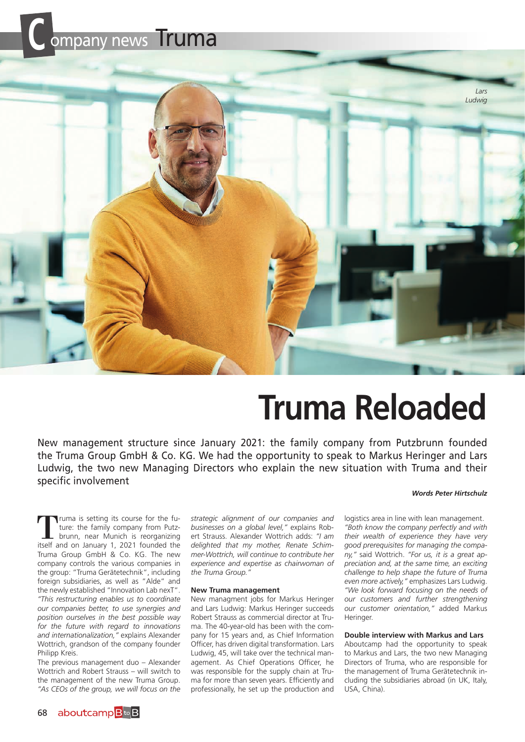



# **Truma Reloaded**

New management structure since January 2021: the family company from Putzbrunn founded the Truma Group GmbH & Co. KG. We had the opportunity to speak to Markus Heringer and Lars Ludwig, the two new Managing Directors who explain the new situation with Truma and their specific involvement

#### *Words Peter Hirtschulz*

Truma is setting its course for the fu-<br>ture: the family company from Putz-<br>brunn, near Munich is reorganizing<br>itself and on January 1, 2021 founded the ture: the family company from Putzitself and on January 1, 2021 founded the Truma Group GmbH & Co. KG. The new company controls the various companies in the group: "Truma Gerätetechnik", including foreign subsidiaries, as well as "Alde" and the newly established "Innovation Lab nexT". *"This restructuring enables us to coordinate our companies better, to use synergies and position ourselves in the best possible way for the future with regard to innovations and internationalization,"* explains Alexander Wottrich, grandson of the company founder Philipp Kreis.

The previous management duo – Alexander Wottrich and Robert Strauss – will switch to the management of the new Truma Group. *"As CEOs of the group, we will focus on the*  *strategic alignment of our companies and businesses on a global level,"* explains Robert Strauss. Alexander Wottrich adds: *"I am delighted that my mother, Renate Schimmer-Wottrich, will continue to contribute her experience and expertise as chairwoman of the Truma Group."*

#### **New Truma management**

New managment jobs for Markus Heringer and Lars Ludwig: Markus Heringer succeeds Robert Strauss as commercial director at Truma. The 40-year-old has been with the company for 15 years and, as Chief Information Officer, has driven digital transformation. Lars Ludwig, 45, will take over the technical management. As Chief Operations Officer, he was responsible for the supply chain at Truma for more than seven years. Efficiently and professionally, he set up the production and

logistics area in line with lean management. *"Both know the company perfectly and with their wealth of experience they have very good prerequisites for managing the company,"* said Wottrich. *"For us, it is a great appreciation and, at the same time, an exciting challenge to help shape the future of Truma even more actively,"* emphasizes Lars Ludwig. *"We look forward focusing on the needs of our customers and further strengthening our customer orientation,"* added Markus **Heringer** 

#### **Double interview with Markus and Lars**

Aboutcamp had the opportunity to speak to Markus and Lars, the two new Managing Directors of Truma, who are responsible for the management of Truma Gerätetechnik including the subsidiaries abroad (in UK, Italy, USA, China).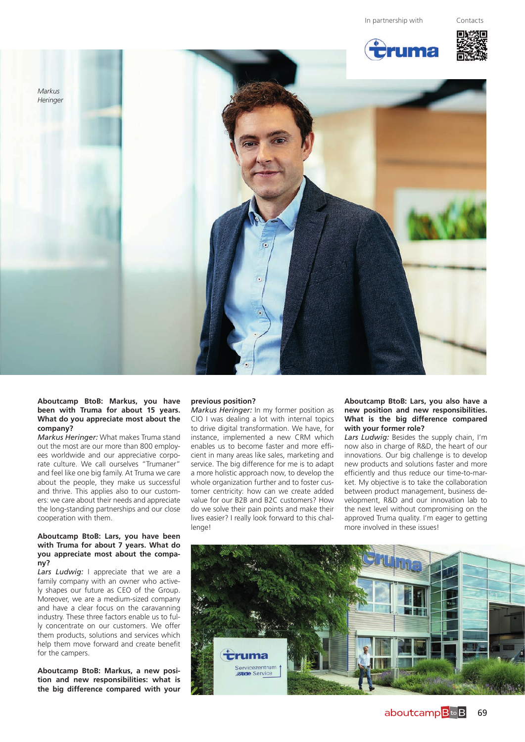







# **Aboutcamp BtoB: Markus, you have been with Truma for about 15 years. What do you appreciate most about the company?**

*Markus Heringer:* What makes Truma stand out the most are our more than 800 employees worldwide and our appreciative corporate culture. We call ourselves "Trumaner" and feel like one big family. At Truma we care about the people, they make us successful and thrive. This applies also to our customers: we care about their needs and appreciate the long-standing partnerships and our close cooperation with them.

#### **Aboutcamp BtoB: Lars, you have been with Truma for about 7 years. What do you appreciate most about the company?**

Lars Ludwig: I appreciate that we are a family company with an owner who actively shapes our future as CEO of the Group. Moreover, we are a medium-sized company and have a clear focus on the caravanning industry. These three factors enable us to fully concentrate on our customers. We offer them products, solutions and services which help them move forward and create benefit for the campers.

**Aboutcamp BtoB: Markus, a new position and new responsibilities: what is the big difference compared with your** 

#### **previous position?**

*Markus Heringer:* In my former position as CIO I was dealing a lot with internal topics to drive digital transformation. We have, for instance, implemented a new CRM which enables us to become faster and more efficient in many areas like sales, marketing and service. The big difference for me is to adapt a more holistic approach now, to develop the whole organization further and to foster customer centricity: how can we create added value for our B2B and B2C customers? How do we solve their pain points and make their lives easier? I really look forward to this challenge!

## **Aboutcamp BtoB: Lars, you also have a new position and new responsibilities. What is the big difference compared with your former role?**

*Lars Ludwig:* Besides the supply chain, I'm now also in charge of R&D, the heart of our innovations. Our big challenge is to develop new products and solutions faster and more efficiently and thus reduce our time-to-market. My objective is to take the collaboration between product management, business development, R&D and our innovation lab to the next level without compromising on the approved Truma quality. I'm eager to getting more involved in these issues!

![](_page_1_Picture_14.jpeg)